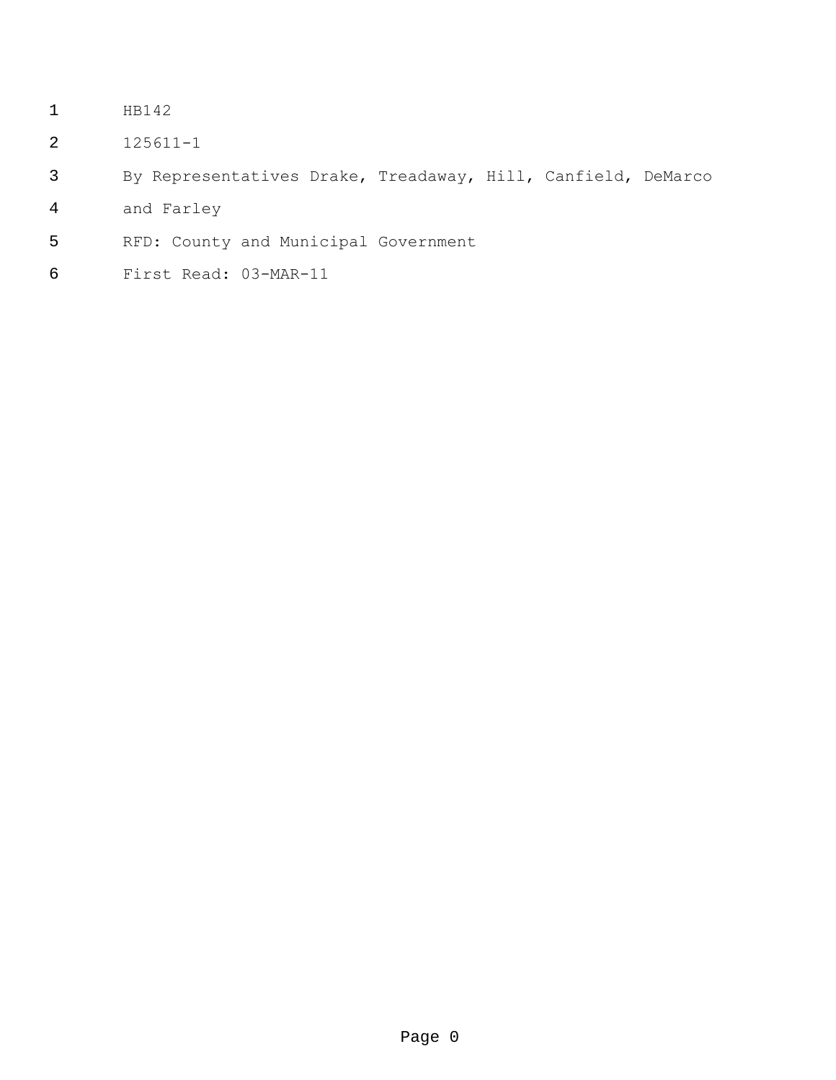- HB142
- 125611-1
- By Representatives Drake, Treadaway, Hill, Canfield, DeMarco
- and Farley
- RFD: County and Municipal Government
- First Read: 03-MAR-11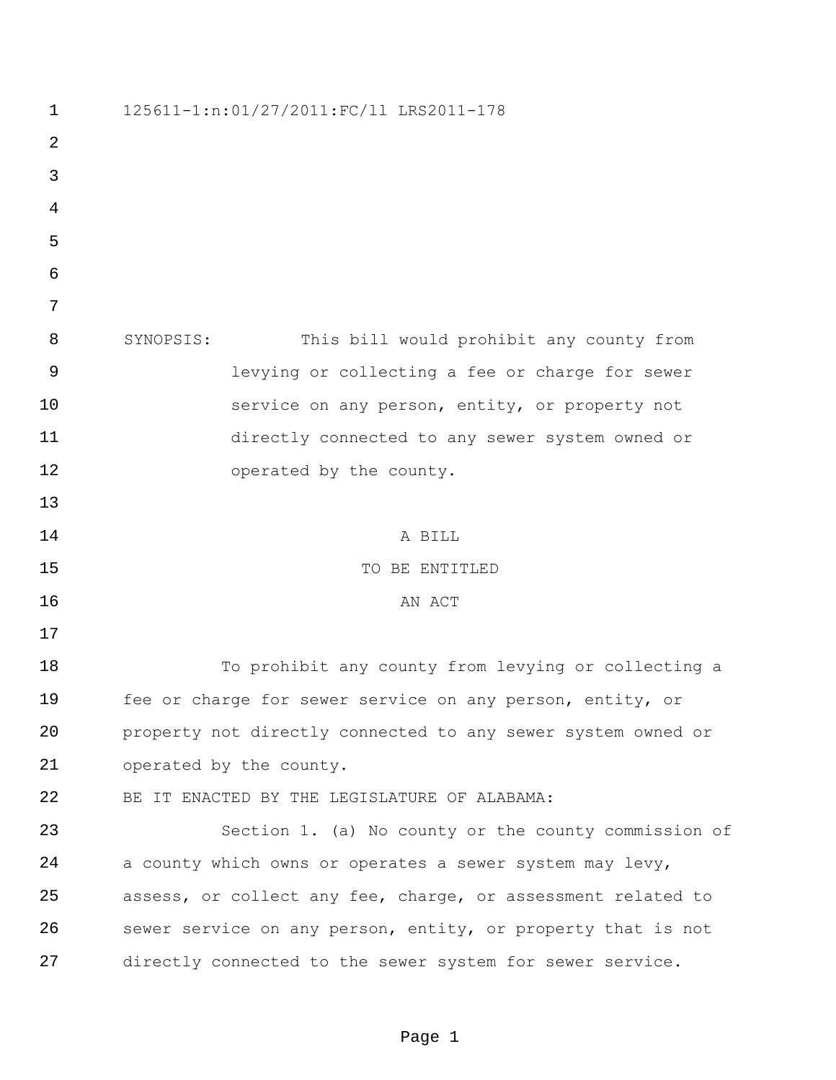| 125611-1:n:01/27/2011:FC/11 LRS2011-178                      |
|--------------------------------------------------------------|
|                                                              |
|                                                              |
|                                                              |
|                                                              |
|                                                              |
|                                                              |
| SYNOPSIS:<br>This bill would prohibit any county from        |
| levying or collecting a fee or charge for sewer              |
| service on any person, entity, or property not               |
| directly connected to any sewer system owned or              |
| operated by the county.                                      |
|                                                              |
| A BILL                                                       |
| TO BE ENTITLED                                               |
| AN ACT                                                       |
|                                                              |
| To prohibit any county from levying or collecting a          |
| fee or charge for sewer service on any person, entity, or    |
| property not directly connected to any sewer system owned or |
| operated by the county.                                      |
| BE IT ENACTED BY THE LEGISLATURE OF ALABAMA:                 |
| Section 1. (a) No county or the county commission of         |
| a county which owns or operates a sewer system may levy,     |
| assess, or collect any fee, charge, or assessment related to |
| sewer service on any person, entity, or property that is not |
| directly connected to the sewer system for sewer service.    |
|                                                              |